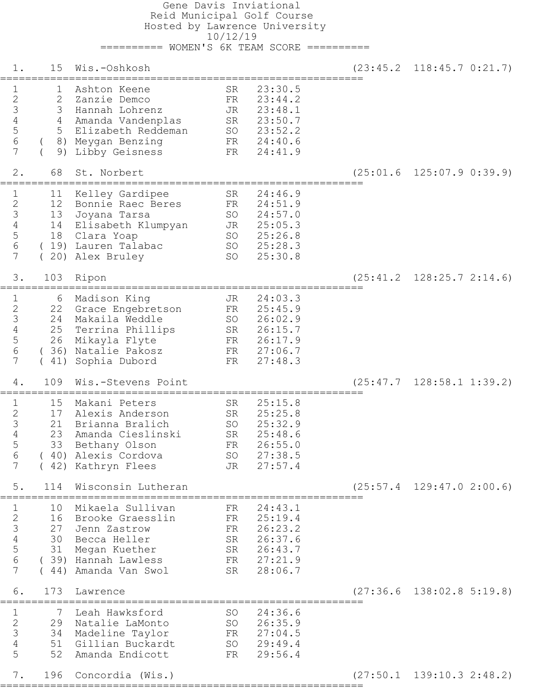Gene Davis Inviational Reid Municipal Golf Course Hosted by Lawrence University 10/12/19 ========== WOMEN'S 6K TEAM SCORE ========== 1. 15 Wis.-Oshkosh (23:45.2 118:45.7 0:21.7) ========================================================== 1 1 Ashton Keene SR 23:30.5 2 2 Zanzie Demco FR 23:44.2 3 3 Hannah Lohrenz JR 23:48.1 4 4 Amanda Vandenplas SR 23:50.7 5 5 Elizabeth Reddeman SO 23:52.2 6 ( 8) Meygan Benzing FR 24:40.6 7 ( 9) Libby Geisness FR 24:41.9 2. 68 St. Norbert (25:01.6 125:07.9 0:39.9) ========================================================== 1 11 Kelley Gardipee SR 24:46.9 2 12 Bonnie Raec Beres FR 24:51.9 3 13 Joyana Tarsa SO 24:57.0 4 14 Elisabeth Klumpyan JR 25:05.3 5 18 Clara Yoap SO 25:26.8 6 ( 19) Lauren Talabac SO 25:28.3 7 ( 20) Alex Bruley SO 25:30.8 3. 103 Ripon (25:41.2 128:25.7 2:14.6) ========================================================== 1 6 Madison King JR 24:03.3 2 22 Grace Engebretson FR 25:45.9 3 24 Makaila Weddle SO 26:02.9 4 25 Terrina Phillips SR 26:15.7 5 26 Mikayla Flyte FR 26:17.9 6 ( 36) Natalie Pakosz FR 27:06.7 7 ( 41) Sophia Dubord FR 27:48.3 4. 109 Wis.-Stevens Point (25:47.7 128:58.1 1:39.2) ========================================================== 1 15 Makani Peters SR 25:15.8 2 17 Alexis Anderson SR 25:25.8 3 21 Brianna Bralich SO 25:32.9 4 23 Amanda Cieslinski SR 25:48.6 5 33 Bethany Olson FR 26:55.0 6 ( 40) Alexis Cordova SO 27:38.5 7 ( 42) Kathryn Flees JR 27:57.4 5. 114 Wisconsin Lutheran (25:57.4 129:47.0 2:00.6) ========================================================== 1 10 Mikaela Sullivan FR 24:43.1 2 16 Brooke Graesslin FR 25:19.4 3 27 Jenn Zastrow FR 26:23.2 4 30 Becca Heller SR 26:37.6 5 31 Megan Kuether SR 26:43.7 6 ( 39) Hannah Lawless FR 27:21.9 7 ( 44) Amanda Van Swol SR 28:06.7 6. 173 Lawrence (27:36.6 138:02.8 5:19.8) ========================================================== 1 7 Leah Hawksford SO 24:36.6 2 29 Natalie LaMonto SO 26:35.9 3 34 Madeline Taylor FR 27:04.5 4 51 Gillian Buckardt SO 29:49.4 5 52 Amanda Endicott FR 29:56.4

==========================================================

7. 196 Concordia (Wis.) (27:50.1 139:10.3 2:48.2)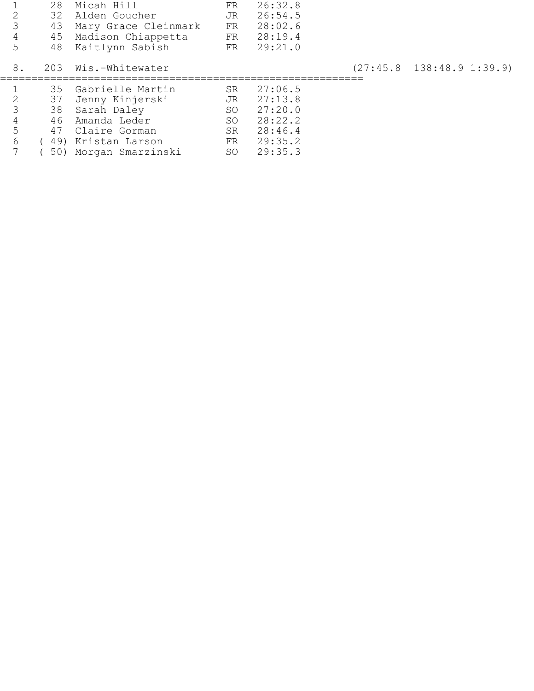|                | 28  | Micah Hill              | FR  | 26:32.8    |                                 |
|----------------|-----|-------------------------|-----|------------|---------------------------------|
|                | 32. | Alden Goucher           | JR. | 26:54.5    |                                 |
|                |     | 43 Mary Grace Cleinmark |     | FR 28:02.6 |                                 |
|                |     | 45 Madison Chiappetta   |     | FR 28:19.4 |                                 |
| 5              |     | 48 Kaitlynn Sabish      |     | FR 29:21.0 |                                 |
| 8 <sub>1</sub> |     | 203 Wis.-Whitewater     |     |            | $(27:45.8 \t138:48.9 \t1:39.9)$ |
|                |     |                         |     |            |                                 |

|       |  | 35 Gabrielle Martin    | SR | 27:06.5    |
|-------|--|------------------------|----|------------|
| 2     |  | 37 Jenny Kinjerski     |    | JR 27:13.8 |
| 3     |  | 38 Sarah Daley         |    | SO 27:20.0 |
| 4     |  | 46 Amanda Leder        | SO | 28:22.2    |
| $5 -$ |  | 47 Claire Gorman       | SR | 28:46.4    |
| 6     |  | (49) Kristan Larson    |    | FR 29:35.2 |
|       |  | (50) Morgan Smarzinski |    | SO 29:35.3 |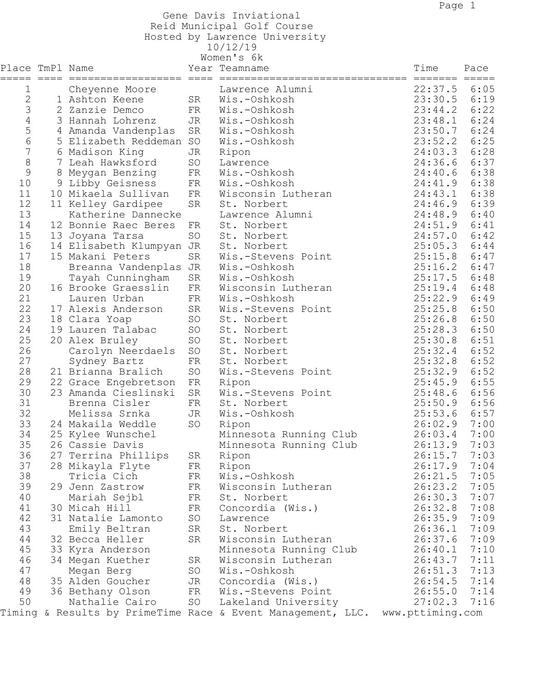Gene Davis Inviational

## Reid Municipal Golf Course

Hosted by Lawrence University

10/12/19

| Time<br>Place TmPl Name<br>Year Teamname<br>Pace<br>$=$ $=$ $=$ $=$ $=$<br>=======================<br>6:05<br>22:37.5<br>1<br>Lawrence Alumni<br>Cheyenne Moore<br>$\mathbf{2}$<br>23:30.5<br>6:19<br>1 Ashton Keene<br>SR<br>Wis.-Oshkosh<br>3<br>23:44.2<br>6:22<br>2 Zanzie Demco<br>Wis.-Oshkosh<br>FR<br>6:24<br>4<br>23:48.1<br>Wis.-Oshkosh<br>3 Hannah Lohrenz<br>JR<br>5<br>6:24<br>23:50.7<br>SR<br>Wis.-Oshkosh<br>4 Amanda Vandenplas<br>6<br>6:25<br>23:52.2<br>5 Elizabeth Reddeman<br>SO<br>Wis.-Oshkosh<br>7<br>24:03.3<br>6:28<br>6 Madison King<br>Ripon<br>JR<br>8<br>6:37<br>7 Leah Hawksford<br>SO<br>24:36.6<br>Lawrence<br>$\mathcal{G}$<br>6:38<br>24:40.6<br>8 Meygan Benzing<br>FR<br>Wis.-Oshkosh<br>10<br>6:38<br>9 Libby Geisness<br>Wis.-Oshkosh<br>24:41.9<br>FR<br>11<br>6:38<br>10 Mikaela Sullivan<br>24:43.1<br>FR<br>Wisconsin Lutheran<br>12<br>24:46.9<br>6:39<br>SR<br>11 Kelley Gardipee<br>St. Norbert<br>13<br>6:40<br>Katherine Dannecke<br>24:48.9<br>Lawrence Alumni<br>6:41<br>14<br>12 Bonnie Raec Beres<br>24:51.9<br>St. Norbert<br>FR<br>15<br>24:57.0<br>6:42<br>SO<br>St. Norbert<br>13 Joyana Tarsa<br>16<br>25:05.3<br>6:44<br>14 Elisabeth Klumpyan JR<br>St. Norbert<br>17<br>6:47<br>15 Makani Peters<br>SR<br>25:15.8<br>Wis.-Stevens Point<br>18<br>25:16.2<br>6:47<br>Breanna Vandenplas JR<br>Wis.-Oshkosh<br>19<br>25:17.5<br>6:48<br>SR<br>Wis.-Oshkosh<br>Tayah Cunningham<br>20<br>25:19.4<br>6:48<br>16 Brooke Graesslin<br>FR<br>Wisconsin Lutheran<br>21<br>25:22.9<br>6:49<br>Wis.-Oshkosh<br>Lauren Urban<br>FR<br>22<br>25:25.8<br>6:50<br>SR<br>17 Alexis Anderson<br>Wis.-Stevens Point<br>23<br>25:26.8<br>6:50<br>SO<br>18 Clara Yoap<br>St. Norbert<br>24<br>25:28.3<br>6:50<br>19 Lauren Talabac<br>SO<br>St. Norbert<br>25<br>25:30.8<br>6:51<br>SO<br>20 Alex Bruley<br>St. Norbert<br>26<br>25:32.4<br>6:52<br>SO<br>Carolyn Neerdaels<br>St. Norbert<br>27<br>25:32.8<br>6:52<br>Sydney Bartz<br>FR<br>St. Norbert<br>28<br>25:32.9<br>6:52<br>SO<br>21 Brianna Bralich<br>Wis.-Stevens Point<br>29<br>6:55<br>25:45.9<br>22 Grace Engebretson<br>FR<br>Ripon<br>30<br>25:48.6<br>6:56<br>23 Amanda Cieslinski<br>SR<br>Wis.-Stevens Point<br>31<br>6:56<br>Brenna Cisler<br>25:50.9<br>FR<br>St. Norbert<br>32<br>25:53.6<br>6:57<br>Melissa Srnka<br>JR<br>Wis.-Oshkosh<br>33<br>26:02.9<br>7:00<br>SO<br>24 Makaila Weddle<br>Ripon<br>34<br>26:03.4<br>7:00<br>25 Kylee Wunschel<br>Minnesota Running Club<br>35<br>26 Cassie Davis<br>26:13.9 7:03<br>Minnesota Running Club<br>26:15.7<br>36<br>27 Terrina Phillips<br>7:03<br>SR<br>Ripon<br>37<br>7:04<br>26:17.9<br>28 Mikayla Flyte<br>FR<br>Ripon<br>38<br>26:21.5<br>7:05<br>Tricia Cich<br>FR<br>Wis.-Oshkosh<br>7:05<br>39<br>26:23.2<br>29 Jenn Zastrow<br>FR<br>Wisconsin Lutheran<br>40<br>26:30.3<br>7:07<br>Mariah Sejbl<br>FR<br>St. Norbert<br>41<br>7:08<br>26:32.8<br>30 Micah Hill<br>FR<br>Concordia (Wis.)<br>7:09<br>42<br>26:35.9<br>31 Natalie Lamonto<br>SO<br>Lawrence<br>43<br>7:09<br>St. Norbert<br>26:36.1<br>Emily Beltran<br>SR<br>44<br>7:09<br>SR<br>26:37.6<br>32 Becca Heller<br>Wisconsin Lutheran<br>45<br>7:10<br>26:40.1<br>33 Kyra Anderson<br>Minnesota Running Club<br>46<br>7:11<br>26:43.7<br>34 Megan Kuether<br>SR<br>Wisconsin Lutheran<br>47<br>7:13<br>26:51.3<br>Megan Berg<br>SO<br>Wis.-Oshkosh<br>48<br>7:14<br>35 Alden Goucher<br>26:54.5<br>JR<br>Concordia (Wis.)<br>7:14<br>49<br>26:55.0<br>36 Bethany Olson<br>FR<br>Wis.-Stevens Point<br>50<br>Nathalie Cairo<br>SO<br>27:02.3<br>7:16<br>Lakeland University<br>Timing & Results by PrimeTime Race & Event Management, LLC. www.pttiming.com | Women's 6k |  |  |  |  |  |  |  |  |
|----------------------------------------------------------------------------------------------------------------------------------------------------------------------------------------------------------------------------------------------------------------------------------------------------------------------------------------------------------------------------------------------------------------------------------------------------------------------------------------------------------------------------------------------------------------------------------------------------------------------------------------------------------------------------------------------------------------------------------------------------------------------------------------------------------------------------------------------------------------------------------------------------------------------------------------------------------------------------------------------------------------------------------------------------------------------------------------------------------------------------------------------------------------------------------------------------------------------------------------------------------------------------------------------------------------------------------------------------------------------------------------------------------------------------------------------------------------------------------------------------------------------------------------------------------------------------------------------------------------------------------------------------------------------------------------------------------------------------------------------------------------------------------------------------------------------------------------------------------------------------------------------------------------------------------------------------------------------------------------------------------------------------------------------------------------------------------------------------------------------------------------------------------------------------------------------------------------------------------------------------------------------------------------------------------------------------------------------------------------------------------------------------------------------------------------------------------------------------------------------------------------------------------------------------------------------------------------------------------------------------------------------------------------------------------------------------------------------------------------------------------------------------------------------------------------------------------------------------------------------------------------------------------------------------------------------------------------------------------------------------------------------------------------------------------------------------------------------------------------------------------------------------------------------------------------------------------------------------------------------------------------------------------------------------------------------------------------------------------------------------------------------------------------------------------------------------------------------------------------------------------------------------------------------------------------------------------------------------------------------------------------------------------------------------------------------------|------------|--|--|--|--|--|--|--|--|
|                                                                                                                                                                                                                                                                                                                                                                                                                                                                                                                                                                                                                                                                                                                                                                                                                                                                                                                                                                                                                                                                                                                                                                                                                                                                                                                                                                                                                                                                                                                                                                                                                                                                                                                                                                                                                                                                                                                                                                                                                                                                                                                                                                                                                                                                                                                                                                                                                                                                                                                                                                                                                                                                                                                                                                                                                                                                                                                                                                                                                                                                                                                                                                                                                                                                                                                                                                                                                                                                                                                                                                                                                                                                                                    |            |  |  |  |  |  |  |  |  |
|                                                                                                                                                                                                                                                                                                                                                                                                                                                                                                                                                                                                                                                                                                                                                                                                                                                                                                                                                                                                                                                                                                                                                                                                                                                                                                                                                                                                                                                                                                                                                                                                                                                                                                                                                                                                                                                                                                                                                                                                                                                                                                                                                                                                                                                                                                                                                                                                                                                                                                                                                                                                                                                                                                                                                                                                                                                                                                                                                                                                                                                                                                                                                                                                                                                                                                                                                                                                                                                                                                                                                                                                                                                                                                    |            |  |  |  |  |  |  |  |  |
|                                                                                                                                                                                                                                                                                                                                                                                                                                                                                                                                                                                                                                                                                                                                                                                                                                                                                                                                                                                                                                                                                                                                                                                                                                                                                                                                                                                                                                                                                                                                                                                                                                                                                                                                                                                                                                                                                                                                                                                                                                                                                                                                                                                                                                                                                                                                                                                                                                                                                                                                                                                                                                                                                                                                                                                                                                                                                                                                                                                                                                                                                                                                                                                                                                                                                                                                                                                                                                                                                                                                                                                                                                                                                                    |            |  |  |  |  |  |  |  |  |
|                                                                                                                                                                                                                                                                                                                                                                                                                                                                                                                                                                                                                                                                                                                                                                                                                                                                                                                                                                                                                                                                                                                                                                                                                                                                                                                                                                                                                                                                                                                                                                                                                                                                                                                                                                                                                                                                                                                                                                                                                                                                                                                                                                                                                                                                                                                                                                                                                                                                                                                                                                                                                                                                                                                                                                                                                                                                                                                                                                                                                                                                                                                                                                                                                                                                                                                                                                                                                                                                                                                                                                                                                                                                                                    |            |  |  |  |  |  |  |  |  |
|                                                                                                                                                                                                                                                                                                                                                                                                                                                                                                                                                                                                                                                                                                                                                                                                                                                                                                                                                                                                                                                                                                                                                                                                                                                                                                                                                                                                                                                                                                                                                                                                                                                                                                                                                                                                                                                                                                                                                                                                                                                                                                                                                                                                                                                                                                                                                                                                                                                                                                                                                                                                                                                                                                                                                                                                                                                                                                                                                                                                                                                                                                                                                                                                                                                                                                                                                                                                                                                                                                                                                                                                                                                                                                    |            |  |  |  |  |  |  |  |  |
|                                                                                                                                                                                                                                                                                                                                                                                                                                                                                                                                                                                                                                                                                                                                                                                                                                                                                                                                                                                                                                                                                                                                                                                                                                                                                                                                                                                                                                                                                                                                                                                                                                                                                                                                                                                                                                                                                                                                                                                                                                                                                                                                                                                                                                                                                                                                                                                                                                                                                                                                                                                                                                                                                                                                                                                                                                                                                                                                                                                                                                                                                                                                                                                                                                                                                                                                                                                                                                                                                                                                                                                                                                                                                                    |            |  |  |  |  |  |  |  |  |
|                                                                                                                                                                                                                                                                                                                                                                                                                                                                                                                                                                                                                                                                                                                                                                                                                                                                                                                                                                                                                                                                                                                                                                                                                                                                                                                                                                                                                                                                                                                                                                                                                                                                                                                                                                                                                                                                                                                                                                                                                                                                                                                                                                                                                                                                                                                                                                                                                                                                                                                                                                                                                                                                                                                                                                                                                                                                                                                                                                                                                                                                                                                                                                                                                                                                                                                                                                                                                                                                                                                                                                                                                                                                                                    |            |  |  |  |  |  |  |  |  |
|                                                                                                                                                                                                                                                                                                                                                                                                                                                                                                                                                                                                                                                                                                                                                                                                                                                                                                                                                                                                                                                                                                                                                                                                                                                                                                                                                                                                                                                                                                                                                                                                                                                                                                                                                                                                                                                                                                                                                                                                                                                                                                                                                                                                                                                                                                                                                                                                                                                                                                                                                                                                                                                                                                                                                                                                                                                                                                                                                                                                                                                                                                                                                                                                                                                                                                                                                                                                                                                                                                                                                                                                                                                                                                    |            |  |  |  |  |  |  |  |  |
|                                                                                                                                                                                                                                                                                                                                                                                                                                                                                                                                                                                                                                                                                                                                                                                                                                                                                                                                                                                                                                                                                                                                                                                                                                                                                                                                                                                                                                                                                                                                                                                                                                                                                                                                                                                                                                                                                                                                                                                                                                                                                                                                                                                                                                                                                                                                                                                                                                                                                                                                                                                                                                                                                                                                                                                                                                                                                                                                                                                                                                                                                                                                                                                                                                                                                                                                                                                                                                                                                                                                                                                                                                                                                                    |            |  |  |  |  |  |  |  |  |
|                                                                                                                                                                                                                                                                                                                                                                                                                                                                                                                                                                                                                                                                                                                                                                                                                                                                                                                                                                                                                                                                                                                                                                                                                                                                                                                                                                                                                                                                                                                                                                                                                                                                                                                                                                                                                                                                                                                                                                                                                                                                                                                                                                                                                                                                                                                                                                                                                                                                                                                                                                                                                                                                                                                                                                                                                                                                                                                                                                                                                                                                                                                                                                                                                                                                                                                                                                                                                                                                                                                                                                                                                                                                                                    |            |  |  |  |  |  |  |  |  |
|                                                                                                                                                                                                                                                                                                                                                                                                                                                                                                                                                                                                                                                                                                                                                                                                                                                                                                                                                                                                                                                                                                                                                                                                                                                                                                                                                                                                                                                                                                                                                                                                                                                                                                                                                                                                                                                                                                                                                                                                                                                                                                                                                                                                                                                                                                                                                                                                                                                                                                                                                                                                                                                                                                                                                                                                                                                                                                                                                                                                                                                                                                                                                                                                                                                                                                                                                                                                                                                                                                                                                                                                                                                                                                    |            |  |  |  |  |  |  |  |  |
|                                                                                                                                                                                                                                                                                                                                                                                                                                                                                                                                                                                                                                                                                                                                                                                                                                                                                                                                                                                                                                                                                                                                                                                                                                                                                                                                                                                                                                                                                                                                                                                                                                                                                                                                                                                                                                                                                                                                                                                                                                                                                                                                                                                                                                                                                                                                                                                                                                                                                                                                                                                                                                                                                                                                                                                                                                                                                                                                                                                                                                                                                                                                                                                                                                                                                                                                                                                                                                                                                                                                                                                                                                                                                                    |            |  |  |  |  |  |  |  |  |
|                                                                                                                                                                                                                                                                                                                                                                                                                                                                                                                                                                                                                                                                                                                                                                                                                                                                                                                                                                                                                                                                                                                                                                                                                                                                                                                                                                                                                                                                                                                                                                                                                                                                                                                                                                                                                                                                                                                                                                                                                                                                                                                                                                                                                                                                                                                                                                                                                                                                                                                                                                                                                                                                                                                                                                                                                                                                                                                                                                                                                                                                                                                                                                                                                                                                                                                                                                                                                                                                                                                                                                                                                                                                                                    |            |  |  |  |  |  |  |  |  |
|                                                                                                                                                                                                                                                                                                                                                                                                                                                                                                                                                                                                                                                                                                                                                                                                                                                                                                                                                                                                                                                                                                                                                                                                                                                                                                                                                                                                                                                                                                                                                                                                                                                                                                                                                                                                                                                                                                                                                                                                                                                                                                                                                                                                                                                                                                                                                                                                                                                                                                                                                                                                                                                                                                                                                                                                                                                                                                                                                                                                                                                                                                                                                                                                                                                                                                                                                                                                                                                                                                                                                                                                                                                                                                    |            |  |  |  |  |  |  |  |  |
|                                                                                                                                                                                                                                                                                                                                                                                                                                                                                                                                                                                                                                                                                                                                                                                                                                                                                                                                                                                                                                                                                                                                                                                                                                                                                                                                                                                                                                                                                                                                                                                                                                                                                                                                                                                                                                                                                                                                                                                                                                                                                                                                                                                                                                                                                                                                                                                                                                                                                                                                                                                                                                                                                                                                                                                                                                                                                                                                                                                                                                                                                                                                                                                                                                                                                                                                                                                                                                                                                                                                                                                                                                                                                                    |            |  |  |  |  |  |  |  |  |
|                                                                                                                                                                                                                                                                                                                                                                                                                                                                                                                                                                                                                                                                                                                                                                                                                                                                                                                                                                                                                                                                                                                                                                                                                                                                                                                                                                                                                                                                                                                                                                                                                                                                                                                                                                                                                                                                                                                                                                                                                                                                                                                                                                                                                                                                                                                                                                                                                                                                                                                                                                                                                                                                                                                                                                                                                                                                                                                                                                                                                                                                                                                                                                                                                                                                                                                                                                                                                                                                                                                                                                                                                                                                                                    |            |  |  |  |  |  |  |  |  |
|                                                                                                                                                                                                                                                                                                                                                                                                                                                                                                                                                                                                                                                                                                                                                                                                                                                                                                                                                                                                                                                                                                                                                                                                                                                                                                                                                                                                                                                                                                                                                                                                                                                                                                                                                                                                                                                                                                                                                                                                                                                                                                                                                                                                                                                                                                                                                                                                                                                                                                                                                                                                                                                                                                                                                                                                                                                                                                                                                                                                                                                                                                                                                                                                                                                                                                                                                                                                                                                                                                                                                                                                                                                                                                    |            |  |  |  |  |  |  |  |  |
|                                                                                                                                                                                                                                                                                                                                                                                                                                                                                                                                                                                                                                                                                                                                                                                                                                                                                                                                                                                                                                                                                                                                                                                                                                                                                                                                                                                                                                                                                                                                                                                                                                                                                                                                                                                                                                                                                                                                                                                                                                                                                                                                                                                                                                                                                                                                                                                                                                                                                                                                                                                                                                                                                                                                                                                                                                                                                                                                                                                                                                                                                                                                                                                                                                                                                                                                                                                                                                                                                                                                                                                                                                                                                                    |            |  |  |  |  |  |  |  |  |
|                                                                                                                                                                                                                                                                                                                                                                                                                                                                                                                                                                                                                                                                                                                                                                                                                                                                                                                                                                                                                                                                                                                                                                                                                                                                                                                                                                                                                                                                                                                                                                                                                                                                                                                                                                                                                                                                                                                                                                                                                                                                                                                                                                                                                                                                                                                                                                                                                                                                                                                                                                                                                                                                                                                                                                                                                                                                                                                                                                                                                                                                                                                                                                                                                                                                                                                                                                                                                                                                                                                                                                                                                                                                                                    |            |  |  |  |  |  |  |  |  |
|                                                                                                                                                                                                                                                                                                                                                                                                                                                                                                                                                                                                                                                                                                                                                                                                                                                                                                                                                                                                                                                                                                                                                                                                                                                                                                                                                                                                                                                                                                                                                                                                                                                                                                                                                                                                                                                                                                                                                                                                                                                                                                                                                                                                                                                                                                                                                                                                                                                                                                                                                                                                                                                                                                                                                                                                                                                                                                                                                                                                                                                                                                                                                                                                                                                                                                                                                                                                                                                                                                                                                                                                                                                                                                    |            |  |  |  |  |  |  |  |  |
|                                                                                                                                                                                                                                                                                                                                                                                                                                                                                                                                                                                                                                                                                                                                                                                                                                                                                                                                                                                                                                                                                                                                                                                                                                                                                                                                                                                                                                                                                                                                                                                                                                                                                                                                                                                                                                                                                                                                                                                                                                                                                                                                                                                                                                                                                                                                                                                                                                                                                                                                                                                                                                                                                                                                                                                                                                                                                                                                                                                                                                                                                                                                                                                                                                                                                                                                                                                                                                                                                                                                                                                                                                                                                                    |            |  |  |  |  |  |  |  |  |
|                                                                                                                                                                                                                                                                                                                                                                                                                                                                                                                                                                                                                                                                                                                                                                                                                                                                                                                                                                                                                                                                                                                                                                                                                                                                                                                                                                                                                                                                                                                                                                                                                                                                                                                                                                                                                                                                                                                                                                                                                                                                                                                                                                                                                                                                                                                                                                                                                                                                                                                                                                                                                                                                                                                                                                                                                                                                                                                                                                                                                                                                                                                                                                                                                                                                                                                                                                                                                                                                                                                                                                                                                                                                                                    |            |  |  |  |  |  |  |  |  |
|                                                                                                                                                                                                                                                                                                                                                                                                                                                                                                                                                                                                                                                                                                                                                                                                                                                                                                                                                                                                                                                                                                                                                                                                                                                                                                                                                                                                                                                                                                                                                                                                                                                                                                                                                                                                                                                                                                                                                                                                                                                                                                                                                                                                                                                                                                                                                                                                                                                                                                                                                                                                                                                                                                                                                                                                                                                                                                                                                                                                                                                                                                                                                                                                                                                                                                                                                                                                                                                                                                                                                                                                                                                                                                    |            |  |  |  |  |  |  |  |  |
|                                                                                                                                                                                                                                                                                                                                                                                                                                                                                                                                                                                                                                                                                                                                                                                                                                                                                                                                                                                                                                                                                                                                                                                                                                                                                                                                                                                                                                                                                                                                                                                                                                                                                                                                                                                                                                                                                                                                                                                                                                                                                                                                                                                                                                                                                                                                                                                                                                                                                                                                                                                                                                                                                                                                                                                                                                                                                                                                                                                                                                                                                                                                                                                                                                                                                                                                                                                                                                                                                                                                                                                                                                                                                                    |            |  |  |  |  |  |  |  |  |
|                                                                                                                                                                                                                                                                                                                                                                                                                                                                                                                                                                                                                                                                                                                                                                                                                                                                                                                                                                                                                                                                                                                                                                                                                                                                                                                                                                                                                                                                                                                                                                                                                                                                                                                                                                                                                                                                                                                                                                                                                                                                                                                                                                                                                                                                                                                                                                                                                                                                                                                                                                                                                                                                                                                                                                                                                                                                                                                                                                                                                                                                                                                                                                                                                                                                                                                                                                                                                                                                                                                                                                                                                                                                                                    |            |  |  |  |  |  |  |  |  |
|                                                                                                                                                                                                                                                                                                                                                                                                                                                                                                                                                                                                                                                                                                                                                                                                                                                                                                                                                                                                                                                                                                                                                                                                                                                                                                                                                                                                                                                                                                                                                                                                                                                                                                                                                                                                                                                                                                                                                                                                                                                                                                                                                                                                                                                                                                                                                                                                                                                                                                                                                                                                                                                                                                                                                                                                                                                                                                                                                                                                                                                                                                                                                                                                                                                                                                                                                                                                                                                                                                                                                                                                                                                                                                    |            |  |  |  |  |  |  |  |  |
|                                                                                                                                                                                                                                                                                                                                                                                                                                                                                                                                                                                                                                                                                                                                                                                                                                                                                                                                                                                                                                                                                                                                                                                                                                                                                                                                                                                                                                                                                                                                                                                                                                                                                                                                                                                                                                                                                                                                                                                                                                                                                                                                                                                                                                                                                                                                                                                                                                                                                                                                                                                                                                                                                                                                                                                                                                                                                                                                                                                                                                                                                                                                                                                                                                                                                                                                                                                                                                                                                                                                                                                                                                                                                                    |            |  |  |  |  |  |  |  |  |
|                                                                                                                                                                                                                                                                                                                                                                                                                                                                                                                                                                                                                                                                                                                                                                                                                                                                                                                                                                                                                                                                                                                                                                                                                                                                                                                                                                                                                                                                                                                                                                                                                                                                                                                                                                                                                                                                                                                                                                                                                                                                                                                                                                                                                                                                                                                                                                                                                                                                                                                                                                                                                                                                                                                                                                                                                                                                                                                                                                                                                                                                                                                                                                                                                                                                                                                                                                                                                                                                                                                                                                                                                                                                                                    |            |  |  |  |  |  |  |  |  |
|                                                                                                                                                                                                                                                                                                                                                                                                                                                                                                                                                                                                                                                                                                                                                                                                                                                                                                                                                                                                                                                                                                                                                                                                                                                                                                                                                                                                                                                                                                                                                                                                                                                                                                                                                                                                                                                                                                                                                                                                                                                                                                                                                                                                                                                                                                                                                                                                                                                                                                                                                                                                                                                                                                                                                                                                                                                                                                                                                                                                                                                                                                                                                                                                                                                                                                                                                                                                                                                                                                                                                                                                                                                                                                    |            |  |  |  |  |  |  |  |  |
|                                                                                                                                                                                                                                                                                                                                                                                                                                                                                                                                                                                                                                                                                                                                                                                                                                                                                                                                                                                                                                                                                                                                                                                                                                                                                                                                                                                                                                                                                                                                                                                                                                                                                                                                                                                                                                                                                                                                                                                                                                                                                                                                                                                                                                                                                                                                                                                                                                                                                                                                                                                                                                                                                                                                                                                                                                                                                                                                                                                                                                                                                                                                                                                                                                                                                                                                                                                                                                                                                                                                                                                                                                                                                                    |            |  |  |  |  |  |  |  |  |
|                                                                                                                                                                                                                                                                                                                                                                                                                                                                                                                                                                                                                                                                                                                                                                                                                                                                                                                                                                                                                                                                                                                                                                                                                                                                                                                                                                                                                                                                                                                                                                                                                                                                                                                                                                                                                                                                                                                                                                                                                                                                                                                                                                                                                                                                                                                                                                                                                                                                                                                                                                                                                                                                                                                                                                                                                                                                                                                                                                                                                                                                                                                                                                                                                                                                                                                                                                                                                                                                                                                                                                                                                                                                                                    |            |  |  |  |  |  |  |  |  |
|                                                                                                                                                                                                                                                                                                                                                                                                                                                                                                                                                                                                                                                                                                                                                                                                                                                                                                                                                                                                                                                                                                                                                                                                                                                                                                                                                                                                                                                                                                                                                                                                                                                                                                                                                                                                                                                                                                                                                                                                                                                                                                                                                                                                                                                                                                                                                                                                                                                                                                                                                                                                                                                                                                                                                                                                                                                                                                                                                                                                                                                                                                                                                                                                                                                                                                                                                                                                                                                                                                                                                                                                                                                                                                    |            |  |  |  |  |  |  |  |  |
|                                                                                                                                                                                                                                                                                                                                                                                                                                                                                                                                                                                                                                                                                                                                                                                                                                                                                                                                                                                                                                                                                                                                                                                                                                                                                                                                                                                                                                                                                                                                                                                                                                                                                                                                                                                                                                                                                                                                                                                                                                                                                                                                                                                                                                                                                                                                                                                                                                                                                                                                                                                                                                                                                                                                                                                                                                                                                                                                                                                                                                                                                                                                                                                                                                                                                                                                                                                                                                                                                                                                                                                                                                                                                                    |            |  |  |  |  |  |  |  |  |
|                                                                                                                                                                                                                                                                                                                                                                                                                                                                                                                                                                                                                                                                                                                                                                                                                                                                                                                                                                                                                                                                                                                                                                                                                                                                                                                                                                                                                                                                                                                                                                                                                                                                                                                                                                                                                                                                                                                                                                                                                                                                                                                                                                                                                                                                                                                                                                                                                                                                                                                                                                                                                                                                                                                                                                                                                                                                                                                                                                                                                                                                                                                                                                                                                                                                                                                                                                                                                                                                                                                                                                                                                                                                                                    |            |  |  |  |  |  |  |  |  |
|                                                                                                                                                                                                                                                                                                                                                                                                                                                                                                                                                                                                                                                                                                                                                                                                                                                                                                                                                                                                                                                                                                                                                                                                                                                                                                                                                                                                                                                                                                                                                                                                                                                                                                                                                                                                                                                                                                                                                                                                                                                                                                                                                                                                                                                                                                                                                                                                                                                                                                                                                                                                                                                                                                                                                                                                                                                                                                                                                                                                                                                                                                                                                                                                                                                                                                                                                                                                                                                                                                                                                                                                                                                                                                    |            |  |  |  |  |  |  |  |  |
|                                                                                                                                                                                                                                                                                                                                                                                                                                                                                                                                                                                                                                                                                                                                                                                                                                                                                                                                                                                                                                                                                                                                                                                                                                                                                                                                                                                                                                                                                                                                                                                                                                                                                                                                                                                                                                                                                                                                                                                                                                                                                                                                                                                                                                                                                                                                                                                                                                                                                                                                                                                                                                                                                                                                                                                                                                                                                                                                                                                                                                                                                                                                                                                                                                                                                                                                                                                                                                                                                                                                                                                                                                                                                                    |            |  |  |  |  |  |  |  |  |
|                                                                                                                                                                                                                                                                                                                                                                                                                                                                                                                                                                                                                                                                                                                                                                                                                                                                                                                                                                                                                                                                                                                                                                                                                                                                                                                                                                                                                                                                                                                                                                                                                                                                                                                                                                                                                                                                                                                                                                                                                                                                                                                                                                                                                                                                                                                                                                                                                                                                                                                                                                                                                                                                                                                                                                                                                                                                                                                                                                                                                                                                                                                                                                                                                                                                                                                                                                                                                                                                                                                                                                                                                                                                                                    |            |  |  |  |  |  |  |  |  |
|                                                                                                                                                                                                                                                                                                                                                                                                                                                                                                                                                                                                                                                                                                                                                                                                                                                                                                                                                                                                                                                                                                                                                                                                                                                                                                                                                                                                                                                                                                                                                                                                                                                                                                                                                                                                                                                                                                                                                                                                                                                                                                                                                                                                                                                                                                                                                                                                                                                                                                                                                                                                                                                                                                                                                                                                                                                                                                                                                                                                                                                                                                                                                                                                                                                                                                                                                                                                                                                                                                                                                                                                                                                                                                    |            |  |  |  |  |  |  |  |  |
|                                                                                                                                                                                                                                                                                                                                                                                                                                                                                                                                                                                                                                                                                                                                                                                                                                                                                                                                                                                                                                                                                                                                                                                                                                                                                                                                                                                                                                                                                                                                                                                                                                                                                                                                                                                                                                                                                                                                                                                                                                                                                                                                                                                                                                                                                                                                                                                                                                                                                                                                                                                                                                                                                                                                                                                                                                                                                                                                                                                                                                                                                                                                                                                                                                                                                                                                                                                                                                                                                                                                                                                                                                                                                                    |            |  |  |  |  |  |  |  |  |
|                                                                                                                                                                                                                                                                                                                                                                                                                                                                                                                                                                                                                                                                                                                                                                                                                                                                                                                                                                                                                                                                                                                                                                                                                                                                                                                                                                                                                                                                                                                                                                                                                                                                                                                                                                                                                                                                                                                                                                                                                                                                                                                                                                                                                                                                                                                                                                                                                                                                                                                                                                                                                                                                                                                                                                                                                                                                                                                                                                                                                                                                                                                                                                                                                                                                                                                                                                                                                                                                                                                                                                                                                                                                                                    |            |  |  |  |  |  |  |  |  |
|                                                                                                                                                                                                                                                                                                                                                                                                                                                                                                                                                                                                                                                                                                                                                                                                                                                                                                                                                                                                                                                                                                                                                                                                                                                                                                                                                                                                                                                                                                                                                                                                                                                                                                                                                                                                                                                                                                                                                                                                                                                                                                                                                                                                                                                                                                                                                                                                                                                                                                                                                                                                                                                                                                                                                                                                                                                                                                                                                                                                                                                                                                                                                                                                                                                                                                                                                                                                                                                                                                                                                                                                                                                                                                    |            |  |  |  |  |  |  |  |  |
|                                                                                                                                                                                                                                                                                                                                                                                                                                                                                                                                                                                                                                                                                                                                                                                                                                                                                                                                                                                                                                                                                                                                                                                                                                                                                                                                                                                                                                                                                                                                                                                                                                                                                                                                                                                                                                                                                                                                                                                                                                                                                                                                                                                                                                                                                                                                                                                                                                                                                                                                                                                                                                                                                                                                                                                                                                                                                                                                                                                                                                                                                                                                                                                                                                                                                                                                                                                                                                                                                                                                                                                                                                                                                                    |            |  |  |  |  |  |  |  |  |
|                                                                                                                                                                                                                                                                                                                                                                                                                                                                                                                                                                                                                                                                                                                                                                                                                                                                                                                                                                                                                                                                                                                                                                                                                                                                                                                                                                                                                                                                                                                                                                                                                                                                                                                                                                                                                                                                                                                                                                                                                                                                                                                                                                                                                                                                                                                                                                                                                                                                                                                                                                                                                                                                                                                                                                                                                                                                                                                                                                                                                                                                                                                                                                                                                                                                                                                                                                                                                                                                                                                                                                                                                                                                                                    |            |  |  |  |  |  |  |  |  |
|                                                                                                                                                                                                                                                                                                                                                                                                                                                                                                                                                                                                                                                                                                                                                                                                                                                                                                                                                                                                                                                                                                                                                                                                                                                                                                                                                                                                                                                                                                                                                                                                                                                                                                                                                                                                                                                                                                                                                                                                                                                                                                                                                                                                                                                                                                                                                                                                                                                                                                                                                                                                                                                                                                                                                                                                                                                                                                                                                                                                                                                                                                                                                                                                                                                                                                                                                                                                                                                                                                                                                                                                                                                                                                    |            |  |  |  |  |  |  |  |  |
|                                                                                                                                                                                                                                                                                                                                                                                                                                                                                                                                                                                                                                                                                                                                                                                                                                                                                                                                                                                                                                                                                                                                                                                                                                                                                                                                                                                                                                                                                                                                                                                                                                                                                                                                                                                                                                                                                                                                                                                                                                                                                                                                                                                                                                                                                                                                                                                                                                                                                                                                                                                                                                                                                                                                                                                                                                                                                                                                                                                                                                                                                                                                                                                                                                                                                                                                                                                                                                                                                                                                                                                                                                                                                                    |            |  |  |  |  |  |  |  |  |
|                                                                                                                                                                                                                                                                                                                                                                                                                                                                                                                                                                                                                                                                                                                                                                                                                                                                                                                                                                                                                                                                                                                                                                                                                                                                                                                                                                                                                                                                                                                                                                                                                                                                                                                                                                                                                                                                                                                                                                                                                                                                                                                                                                                                                                                                                                                                                                                                                                                                                                                                                                                                                                                                                                                                                                                                                                                                                                                                                                                                                                                                                                                                                                                                                                                                                                                                                                                                                                                                                                                                                                                                                                                                                                    |            |  |  |  |  |  |  |  |  |
|                                                                                                                                                                                                                                                                                                                                                                                                                                                                                                                                                                                                                                                                                                                                                                                                                                                                                                                                                                                                                                                                                                                                                                                                                                                                                                                                                                                                                                                                                                                                                                                                                                                                                                                                                                                                                                                                                                                                                                                                                                                                                                                                                                                                                                                                                                                                                                                                                                                                                                                                                                                                                                                                                                                                                                                                                                                                                                                                                                                                                                                                                                                                                                                                                                                                                                                                                                                                                                                                                                                                                                                                                                                                                                    |            |  |  |  |  |  |  |  |  |
|                                                                                                                                                                                                                                                                                                                                                                                                                                                                                                                                                                                                                                                                                                                                                                                                                                                                                                                                                                                                                                                                                                                                                                                                                                                                                                                                                                                                                                                                                                                                                                                                                                                                                                                                                                                                                                                                                                                                                                                                                                                                                                                                                                                                                                                                                                                                                                                                                                                                                                                                                                                                                                                                                                                                                                                                                                                                                                                                                                                                                                                                                                                                                                                                                                                                                                                                                                                                                                                                                                                                                                                                                                                                                                    |            |  |  |  |  |  |  |  |  |
|                                                                                                                                                                                                                                                                                                                                                                                                                                                                                                                                                                                                                                                                                                                                                                                                                                                                                                                                                                                                                                                                                                                                                                                                                                                                                                                                                                                                                                                                                                                                                                                                                                                                                                                                                                                                                                                                                                                                                                                                                                                                                                                                                                                                                                                                                                                                                                                                                                                                                                                                                                                                                                                                                                                                                                                                                                                                                                                                                                                                                                                                                                                                                                                                                                                                                                                                                                                                                                                                                                                                                                                                                                                                                                    |            |  |  |  |  |  |  |  |  |
|                                                                                                                                                                                                                                                                                                                                                                                                                                                                                                                                                                                                                                                                                                                                                                                                                                                                                                                                                                                                                                                                                                                                                                                                                                                                                                                                                                                                                                                                                                                                                                                                                                                                                                                                                                                                                                                                                                                                                                                                                                                                                                                                                                                                                                                                                                                                                                                                                                                                                                                                                                                                                                                                                                                                                                                                                                                                                                                                                                                                                                                                                                                                                                                                                                                                                                                                                                                                                                                                                                                                                                                                                                                                                                    |            |  |  |  |  |  |  |  |  |
|                                                                                                                                                                                                                                                                                                                                                                                                                                                                                                                                                                                                                                                                                                                                                                                                                                                                                                                                                                                                                                                                                                                                                                                                                                                                                                                                                                                                                                                                                                                                                                                                                                                                                                                                                                                                                                                                                                                                                                                                                                                                                                                                                                                                                                                                                                                                                                                                                                                                                                                                                                                                                                                                                                                                                                                                                                                                                                                                                                                                                                                                                                                                                                                                                                                                                                                                                                                                                                                                                                                                                                                                                                                                                                    |            |  |  |  |  |  |  |  |  |
|                                                                                                                                                                                                                                                                                                                                                                                                                                                                                                                                                                                                                                                                                                                                                                                                                                                                                                                                                                                                                                                                                                                                                                                                                                                                                                                                                                                                                                                                                                                                                                                                                                                                                                                                                                                                                                                                                                                                                                                                                                                                                                                                                                                                                                                                                                                                                                                                                                                                                                                                                                                                                                                                                                                                                                                                                                                                                                                                                                                                                                                                                                                                                                                                                                                                                                                                                                                                                                                                                                                                                                                                                                                                                                    |            |  |  |  |  |  |  |  |  |
|                                                                                                                                                                                                                                                                                                                                                                                                                                                                                                                                                                                                                                                                                                                                                                                                                                                                                                                                                                                                                                                                                                                                                                                                                                                                                                                                                                                                                                                                                                                                                                                                                                                                                                                                                                                                                                                                                                                                                                                                                                                                                                                                                                                                                                                                                                                                                                                                                                                                                                                                                                                                                                                                                                                                                                                                                                                                                                                                                                                                                                                                                                                                                                                                                                                                                                                                                                                                                                                                                                                                                                                                                                                                                                    |            |  |  |  |  |  |  |  |  |